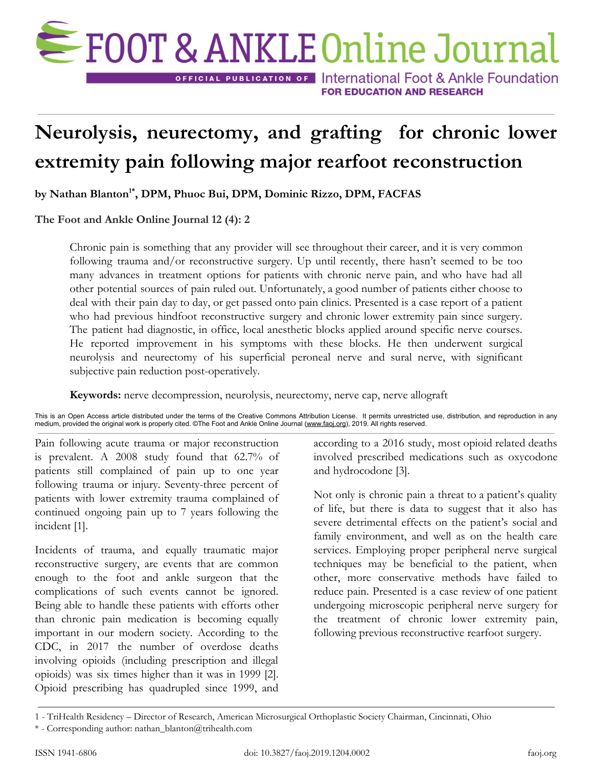

**OFFICIAL PUBLICATION OF International Foot & Ankle Foundation FOR EDUCATION AND RESEARCH** 

# **Neurolysis, neurectomy, and grafting for chronic lower extremity pain following major rearfoot reconstruction**

**by Nathan Blanton1\* , DPM, Phuoc Bui, DPM, Dominic Rizzo, DPM, FACFAS**

**The Foot and Ankle Online Journal 12 (4): 2**

Chronic pain is something that any provider will see throughout their career, and it is very common following trauma and/or reconstructive surgery. Up until recently, there hasn't seemed to be too many advances in treatment options for patients with chronic nerve pain, and who have had all other potential sources of pain ruled out. Unfortunately, a good number of patients either choose to deal with their pain day to day, or get passed onto pain clinics. Presented is a case report of a patient who had previous hindfoot reconstructive surgery and chronic lower extremity pain since surgery. The patient had diagnostic, in office, local anesthetic blocks applied around specific nerve courses. He reported improvement in his symptoms with these blocks. He then underwent surgical neurolysis and neurectomy of his superficial peroneal nerve and sural nerve, with significant subjective pain reduction post-operatively.

**Keywords:** nerve decompression, neurolysis, neurectomy, nerve cap, nerve allograft

This is an Open Access article distributed under the terms of the Creative Commons Attribution License. It permits unrestricted use, distribution, and reproduction in any medium, provided the original work is properly cited. ©The Foot and Ankle Online Journal [\(www.faoj.org](http://www.faoj.org/)), 2019. All rights reserved.

Pain following acute trauma or major reconstruction is prevalent. A 2008 study found that 62.7% of patients still complained of pain up to one year following trauma or injury. Seventy-three percent of patients with lower extremity trauma complained of continued ongoing pain up to 7 years following the incident [1].

Incidents of trauma, and equally traumatic major reconstructive surgery, are events that are common enough to the foot and ankle surgeon that the complications of such events cannot be ignored. Being able to handle these patients with efforts other than chronic pain medication is becoming equally important in our modern society. According to the CDC, in 2017 the number of overdose deaths involving opioids (including prescription and illegal opioids) was six times higher than it was in 1999 [2]. Opioid prescribing has quadrupled since 1999, and

according to a 2016 study, most opioid related deaths involved prescribed medications such as oxycodone and hydrocodone [3].

Not only is chronic pain a threat to a patient's quality of life, but there is data to suggest that it also has severe detrimental effects on the patient's social and family environment, and well as on the health care services. Employing proper peripheral nerve surgical techniques may be beneficial to the patient, when other, more conservative methods have failed to reduce pain. Presented is a case review of one patient undergoing microscopic peripheral nerve surgery for the treatment of chronic lower extremity pain, following previous reconstructive rearfoot surgery.

<sup>1</sup> - TriHealth Residency – Director of Research, American Microsurgical Orthoplastic Society Chairman, Cincinnati, Ohio

<sup>\*</sup> - Corresponding author: nathan\_blanton@trihealth.com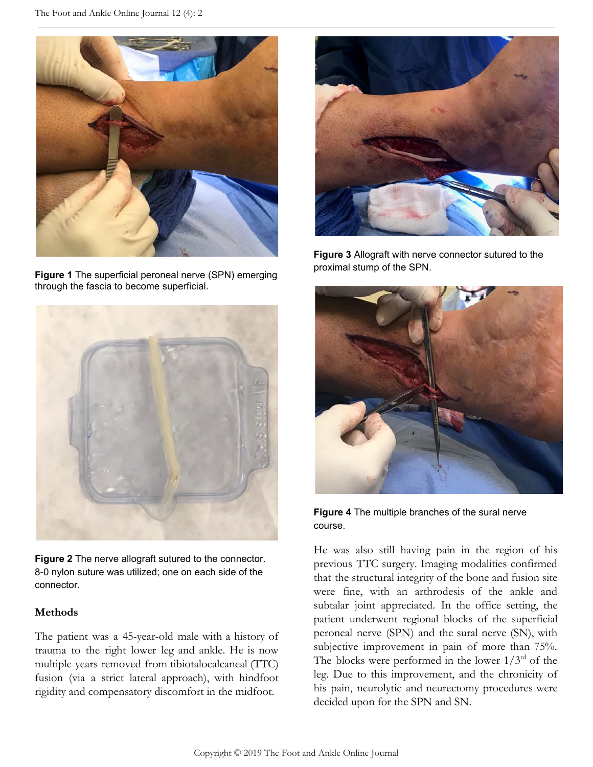

**Figure 1** The superficial peroneal nerve (SPN) emerging through the fascia to become superficial.



**Figure 2** The nerve allograft sutured to the connector. 8-0 nylon suture was utilized; one on each side of the connector.

### **Methods**

The patient was a 45-year-old male with a history of trauma to the right lower leg and ankle. He is now multiple years removed from tibiotalocalcaneal (TTC) fusion (via a strict lateral approach), with hindfoot rigidity and compensatory discomfort in the midfoot.



**Figure 3** Allograft with nerve connector sutured to the proximal stump of the SPN.



**Figure 4** The multiple branches of the sural nerve course.

He was also still having pain in the region of his previous TTC surgery. Imaging modalities confirmed that the structural integrity of the bone and fusion site were fine, with an arthrodesis of the ankle and subtalar joint appreciated. In the office setting, the patient underwent regional blocks of the superficial peroneal nerve (SPN) and the sural nerve (SN), with subjective improvement in pain of more than 75%. The blocks were performed in the lower  $1/3<sup>rd</sup>$  of the leg. Due to this improvement, and the chronicity of his pain, neurolytic and neurectomy procedures were decided upon for the SPN and SN.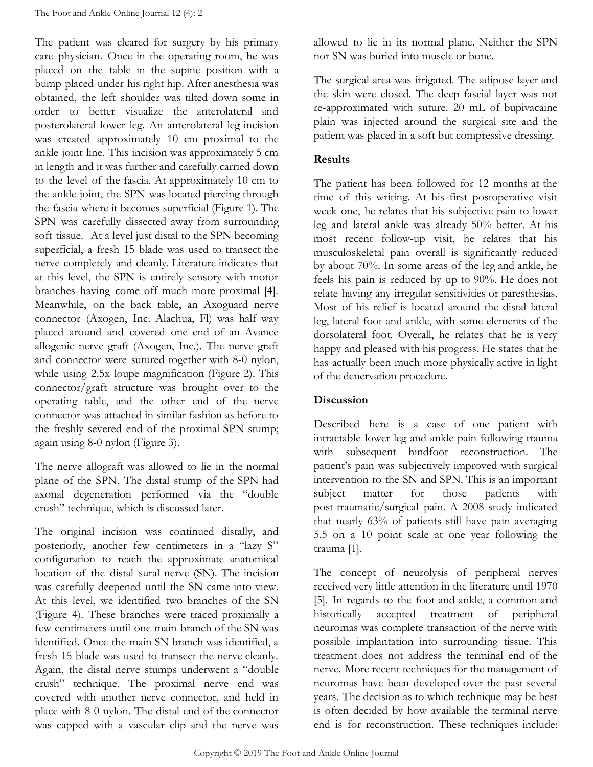The patient was cleared for surgery by his primary care physician. Once in the operating room, he was placed on the table in the supine position with a bump placed under his right hip. After anesthesia was obtained, the left shoulder was tilted down some in order to better visualize the anterolateral and posterolateral lower leg. An anterolateral leg incision was created approximately 10 cm proximal to the ankle joint line. This incision was approximately 5 cm in length and it was further and carefully carried down to the level of the fascia. At approximately 10 cm to the ankle joint, the SPN was located piercing through the fascia where it becomes superficial (Figure 1). The SPN was carefully dissected away from surrounding soft tissue. At a level just distal to the SPN becoming superficial, a fresh 15 blade was used to transect the nerve completely and cleanly. Literature indicates that at this level, the SPN is entirely sensory with motor branches having come off much more proximal [4]. Meanwhile, on the back table, an Axoguard nerve connector (Axogen, Inc. Alachua, Fl) was half way placed around and covered one end of an Avance allogenic nerve graft (Axogen, Inc.). The nerve graft and connector were sutured together with 8-0 nylon, while using 2.5x loupe magnification (Figure 2). This connector/graft structure was brought over to the operating table, and the other end of the nerve connector was attached in similar fashion as before to the freshly severed end of the proximal SPN stump; again using 8-0 nylon (Figure 3).

The nerve allograft was allowed to lie in the normal plane of the SPN. The distal stump of the SPN had axonal degeneration performed via the "double crush" technique, which is discussed later.

The original incision was continued distally, and posteriorly, another few centimeters in a "lazy S" configuration to reach the approximate anatomical location of the distal sural nerve (SN). The incision was carefully deepened until the SN came into view. At this level, we identified two branches of the SN (Figure 4). These branches were traced proximally a few centimeters until one main branch of the SN was identified. Once the main SN branch was identified, a fresh 15 blade was used to transect the nerve cleanly. Again, the distal nerve stumps underwent a "double crush" technique. The proximal nerve end was covered with another nerve connector, and held in place with 8-0 nylon. The distal end of the connector was capped with a vascular clip and the nerve was

allowed to lie in its normal plane. Neither the SPN nor SN was buried into muscle or bone.

The surgical area was irrigated. The adipose layer and the skin were closed. The deep fascial layer was not re-approximated with suture. 20 mL of bupivacaine plain was injected around the surgical site and the patient was placed in a soft but compressive dressing.

# **Results**

The patient has been followed for 12 months at the time of this writing. At his first postoperative visit week one, he relates that his subjective pain to lower leg and lateral ankle was already 50% better. At his most recent follow-up visit, he relates that his musculoskeletal pain overall is significantly reduced by about 70%. In some areas of the leg and ankle, he feels his pain is reduced by up to 90%. He does not relate having any irregular sensitivities or paresthesias. Most of his relief is located around the distal lateral leg, lateral foot and ankle, with some elements of the dorsolateral foot. Overall, he relates that he is very happy and pleased with his progress. He states that he has actually been much more physically active in light of the denervation procedure.

## **Discussion**

Described here is a case of one patient with intractable lower leg and ankle pain following trauma with subsequent hindfoot reconstruction. The patient's pain was subjectively improved with surgical intervention to the SN and SPN. This is an important subject matter for those patients with post-traumatic/surgical pain. A 2008 study indicated that nearly 63% of patients still have pain averaging 5.5 on a 10 point scale at one year following the trauma [1].

The concept of neurolysis of peripheral nerves received very little attention in the literature until 1970 [5]. In regards to the foot and ankle, a common and historically accepted treatment of peripheral neuromas was complete transaction of the nerve with possible implantation into surrounding tissue. This treatment does not address the terminal end of the nerve. More recent techniques for the management of neuromas have been developed over the past several years. The decision as to which technique may be best is often decided by how available the terminal nerve end is for reconstruction. These techniques include: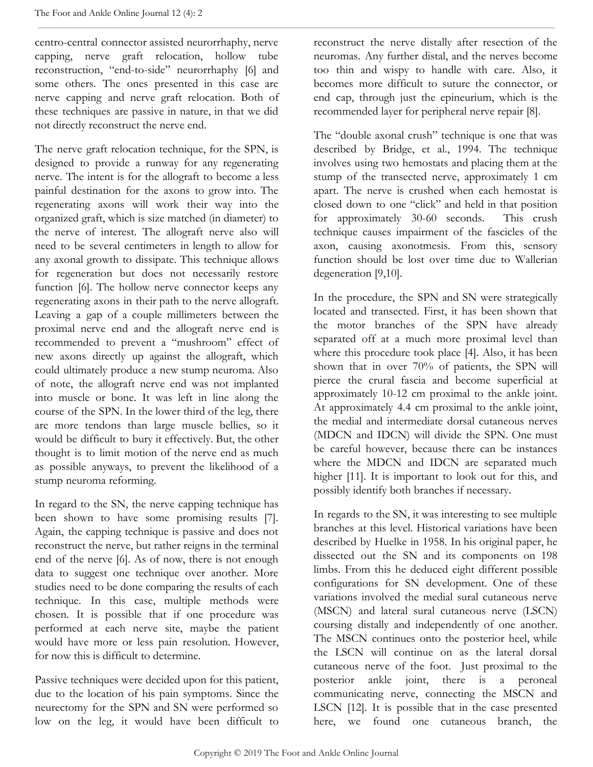centro-central connector assisted neurorrhaphy, nerve capping, nerve graft relocation, hollow tube reconstruction, "end-to-side" neurorrhaphy [6] and some others. The ones presented in this case are nerve capping and nerve graft relocation. Both of these techniques are passive in nature, in that we did not directly reconstruct the nerve end.

The nerve graft relocation technique, for the SPN, is designed to provide a runway for any regenerating nerve. The intent is for the allograft to become a less painful destination for the axons to grow into. The regenerating axons will work their way into the organized graft, which is size matched (in diameter) to the nerve of interest. The allograft nerve also will need to be several centimeters in length to allow for any axonal growth to dissipate. This technique allows for regeneration but does not necessarily restore function [6]. The hollow nerve connector keeps any regenerating axons in their path to the nerve allograft. Leaving a gap of a couple millimeters between the proximal nerve end and the allograft nerve end is recommended to prevent a "mushroom" effect of new axons directly up against the allograft, which could ultimately produce a new stump neuroma. Also of note, the allograft nerve end was not implanted into muscle or bone. It was left in line along the course of the SPN. In the lower third of the leg, there are more tendons than large muscle bellies, so it would be difficult to bury it effectively. But, the other thought is to limit motion of the nerve end as much as possible anyways, to prevent the likelihood of a stump neuroma reforming.

In regard to the SN, the nerve capping technique has been shown to have some promising results [7]. Again, the capping technique is passive and does not reconstruct the nerve, but rather reigns in the terminal end of the nerve [6]. As of now, there is not enough data to suggest one technique over another. More studies need to be done comparing the results of each technique. In this case, multiple methods were chosen. It is possible that if one procedure was performed at each nerve site, maybe the patient would have more or less pain resolution. However, for now this is difficult to determine.

Passive techniques were decided upon for this patient, due to the location of his pain symptoms. Since the neurectomy for the SPN and SN were performed so low on the leg, it would have been difficult to reconstruct the nerve distally after resection of the neuromas. Any further distal, and the nerves become too thin and wispy to handle with care. Also, it becomes more difficult to suture the connector, or end cap, through just the epineurium, which is the recommended layer for peripheral nerve repair [8].

The "double axonal crush" technique is one that was described by Bridge, et al., 1994. The technique involves using two hemostats and placing them at the stump of the transected nerve, approximately 1 cm apart. The nerve is crushed when each hemostat is closed down to one "click" and held in that position for approximately 30-60 seconds. This crush technique causes impairment of the fascicles of the axon, causing axonotmesis. From this, sensory function should be lost over time due to Wallerian degeneration [9,10].

In the procedure, the SPN and SN were strategically located and transected. First, it has been shown that the motor branches of the SPN have already separated off at a much more proximal level than where this procedure took place [4]. Also, it has been shown that in over 70% of patients, the SPN will pierce the crural fascia and become superficial at approximately 10-12 cm proximal to the ankle joint. At approximately 4.4 cm proximal to the ankle joint, the medial and intermediate dorsal cutaneous nerves (MDCN and IDCN) will divide the SPN. One must be careful however, because there can be instances where the MDCN and IDCN are separated much higher [11]. It is important to look out for this, and possibly identify both branches if necessary.

In regards to the SN, it was interesting to see multiple branches at this level. Historical variations have been described by Huelke in 1958. In his original paper, he dissected out the SN and its components on 198 limbs. From this he deduced eight different possible configurations for SN development. One of these variations involved the medial sural cutaneous nerve (MSCN) and lateral sural cutaneous nerve (LSCN) coursing distally and independently of one another. The MSCN continues onto the posterior heel, while the LSCN will continue on as the lateral dorsal cutaneous nerve of the foot. Just proximal to the posterior ankle joint, there is a peroneal communicating nerve, connecting the MSCN and LSCN [12]. It is possible that in the case presented here, we found one cutaneous branch, the